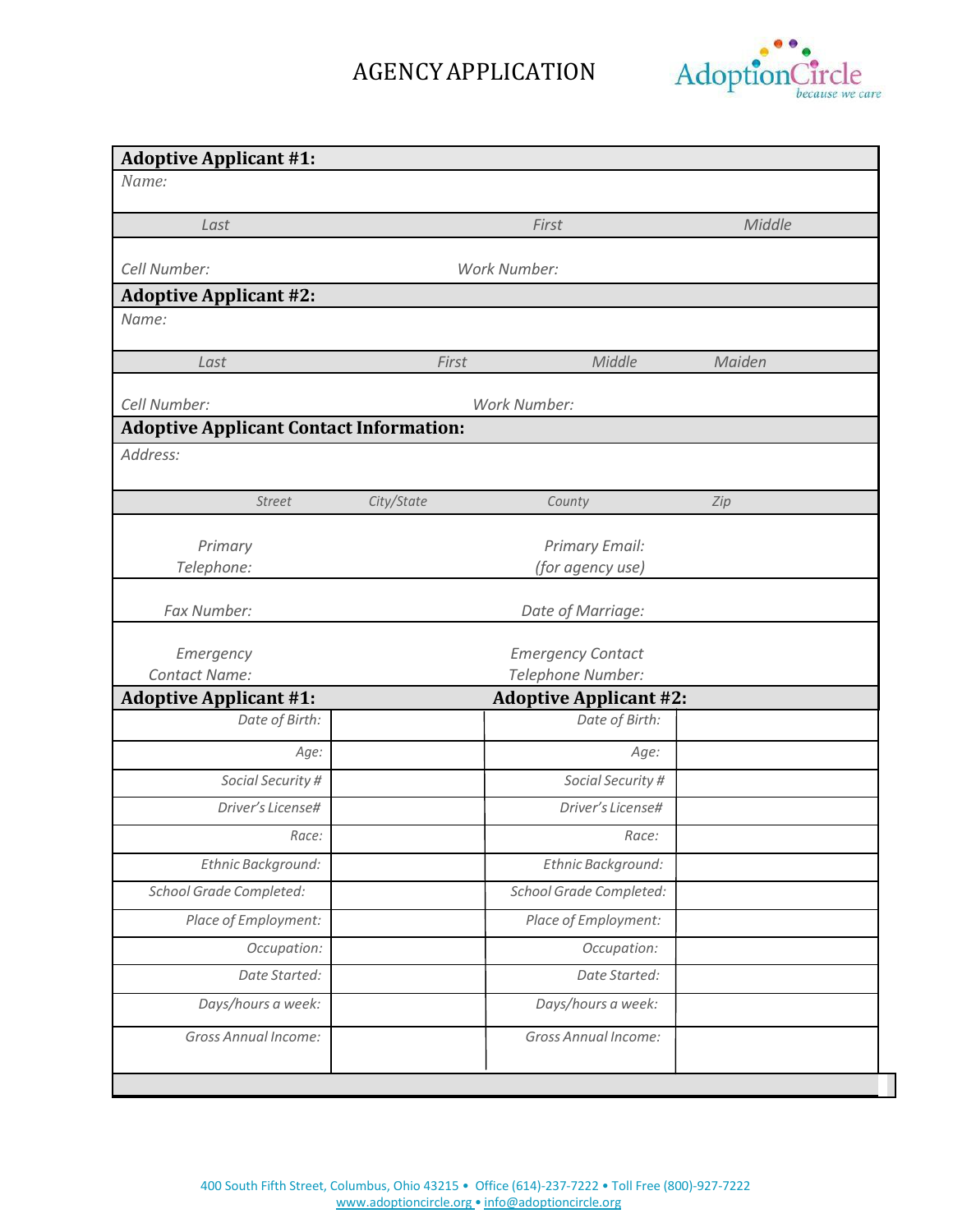

| <b>Adoptive Applicant #1:</b>                  |                          |                               |        |  |  |
|------------------------------------------------|--------------------------|-------------------------------|--------|--|--|
| Name:                                          |                          |                               |        |  |  |
| Last                                           |                          | First                         | Middle |  |  |
|                                                |                          |                               |        |  |  |
| Cell Number:                                   |                          | Work Number:                  |        |  |  |
| <b>Adoptive Applicant #2:</b>                  |                          |                               |        |  |  |
| Name:                                          |                          |                               |        |  |  |
| Last                                           | First                    | Middle                        | Maiden |  |  |
|                                                |                          |                               |        |  |  |
| Cell Number:                                   |                          | Work Number:                  |        |  |  |
| <b>Adoptive Applicant Contact Information:</b> |                          |                               |        |  |  |
| Address:                                       |                          |                               |        |  |  |
| <b>Street</b>                                  | City/State               | County                        | Zip    |  |  |
|                                                |                          |                               |        |  |  |
| Primary                                        |                          | Primary Email:                |        |  |  |
| Telephone:                                     |                          | (for agency use)              |        |  |  |
| Fax Number:                                    |                          | Date of Marriage:             |        |  |  |
|                                                |                          |                               |        |  |  |
| Emergency                                      | <b>Emergency Contact</b> |                               |        |  |  |
| <b>Contact Name:</b>                           | Telephone Number:        |                               |        |  |  |
| <b>Adoptive Applicant #1:</b>                  |                          | <b>Adoptive Applicant #2:</b> |        |  |  |
| Date of Birth:                                 |                          | Date of Birth:                |        |  |  |
| Age:                                           |                          | Age:                          |        |  |  |
| Social Security #                              |                          | Social Security #             |        |  |  |
| Driver's License#                              |                          | Driver's License#             |        |  |  |
| Race:                                          | Race:                    |                               |        |  |  |
| Ethnic Background:                             |                          | Ethnic Background:            |        |  |  |
| <b>School Grade Completed:</b>                 | School Grade Completed:  |                               |        |  |  |
| Place of Employment:                           | Place of Employment:     |                               |        |  |  |
| Occupation:                                    | Occupation:              |                               |        |  |  |
| Date Started:                                  |                          | Date Started:                 |        |  |  |
| Days/hours a week:                             |                          | Days/hours a week:            |        |  |  |
| <b>Gross Annual Income:</b>                    |                          | <b>Gross Annual Income:</b>   |        |  |  |
|                                                |                          |                               |        |  |  |
|                                                |                          |                               |        |  |  |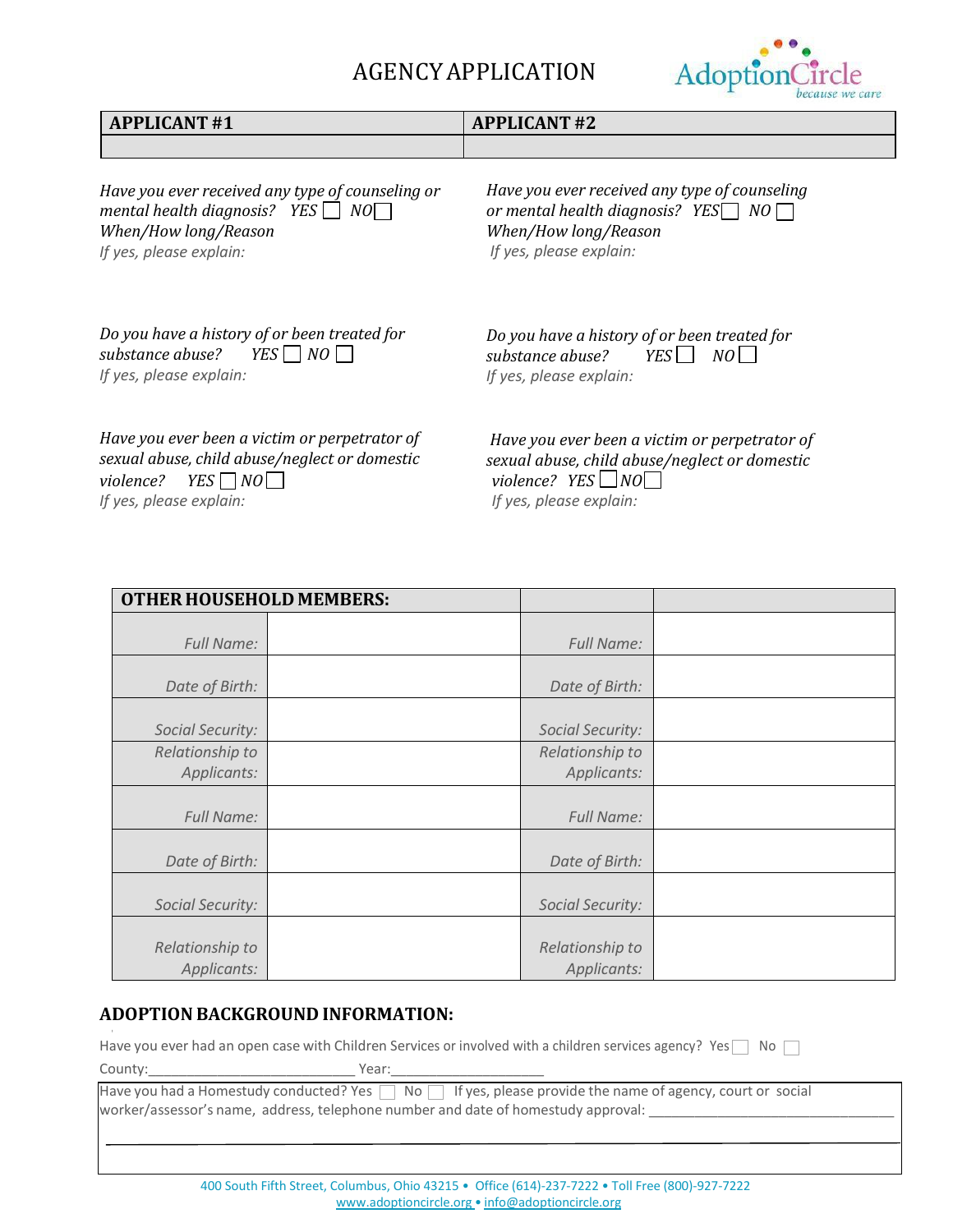

| <b>APPLICANT#1</b>                                                                                                                                            | <b>APPLICANT#2</b>                                                                                                                                   |  |  |
|---------------------------------------------------------------------------------------------------------------------------------------------------------------|------------------------------------------------------------------------------------------------------------------------------------------------------|--|--|
|                                                                                                                                                               |                                                                                                                                                      |  |  |
| Have you ever received any type of counseling or<br>mental health diagnosis? $YES \cap NO$<br>When/How long/Reason<br>If yes, please explain:                 | Have you ever received any type of counseling<br>or mental health diagnosis? YES $\Box$ NO $\Box$<br>When/How long/Reason<br>If yes, please explain: |  |  |
| Do you have a history of or been treated for<br>substance abuse? $YES \rceil NO \rceil$<br>If yes, please explain:                                            | Do you have a history of or been treated for<br>substance abuse?<br>YES    <br>NO<br>If yes, please explain:                                         |  |  |
| Have you ever been a victim or perpetrator of<br>sexual abuse, child abuse/neglect or domestic<br>violence? $YES \rceil NO \rceil$<br>If yes, please explain: | Have you ever been a victim or perpetrator of<br>sexual abuse, child abuse/neglect or domestic<br>violence? $YES \Box NO$<br>If yes, please explain: |  |  |

*If yes, please explain:*

| <b>OTHER HOUSEHOLD MEMBERS:</b> |                   |  |
|---------------------------------|-------------------|--|
|                                 |                   |  |
| <b>Full Name:</b>               | <b>Full Name:</b> |  |
| Date of Birth:                  | Date of Birth:    |  |
|                                 |                   |  |
| Social Security:                | Social Security:  |  |
| Relationship to                 | Relationship to   |  |
| Applicants:                     | Applicants:       |  |
|                                 |                   |  |
| <b>Full Name:</b>               | <b>Full Name:</b> |  |
|                                 |                   |  |
| Date of Birth:                  | Date of Birth:    |  |
|                                 |                   |  |
| Social Security:                | Social Security:  |  |
|                                 |                   |  |
| Relationship to                 | Relationship to   |  |
| Applicants:                     | Applicants:       |  |

### **ADOPTION BACKGROUND INFORMATION:**

Have you ever had an open case with Children Services or involved with a children services agency? Yes No

County:\_\_\_\_\_\_\_\_\_\_\_\_\_\_\_\_\_\_\_\_\_\_\_\_\_\_\_ Year:\_\_\_\_\_\_\_\_\_\_\_\_\_\_\_\_\_\_\_\_

Have you had a Homestudy conducted? Yes  $\Box$  No  $\Box$  If yes, please provide the name of agency, court or social worker/assessor's name, address, telephone number and date of homestudy approval: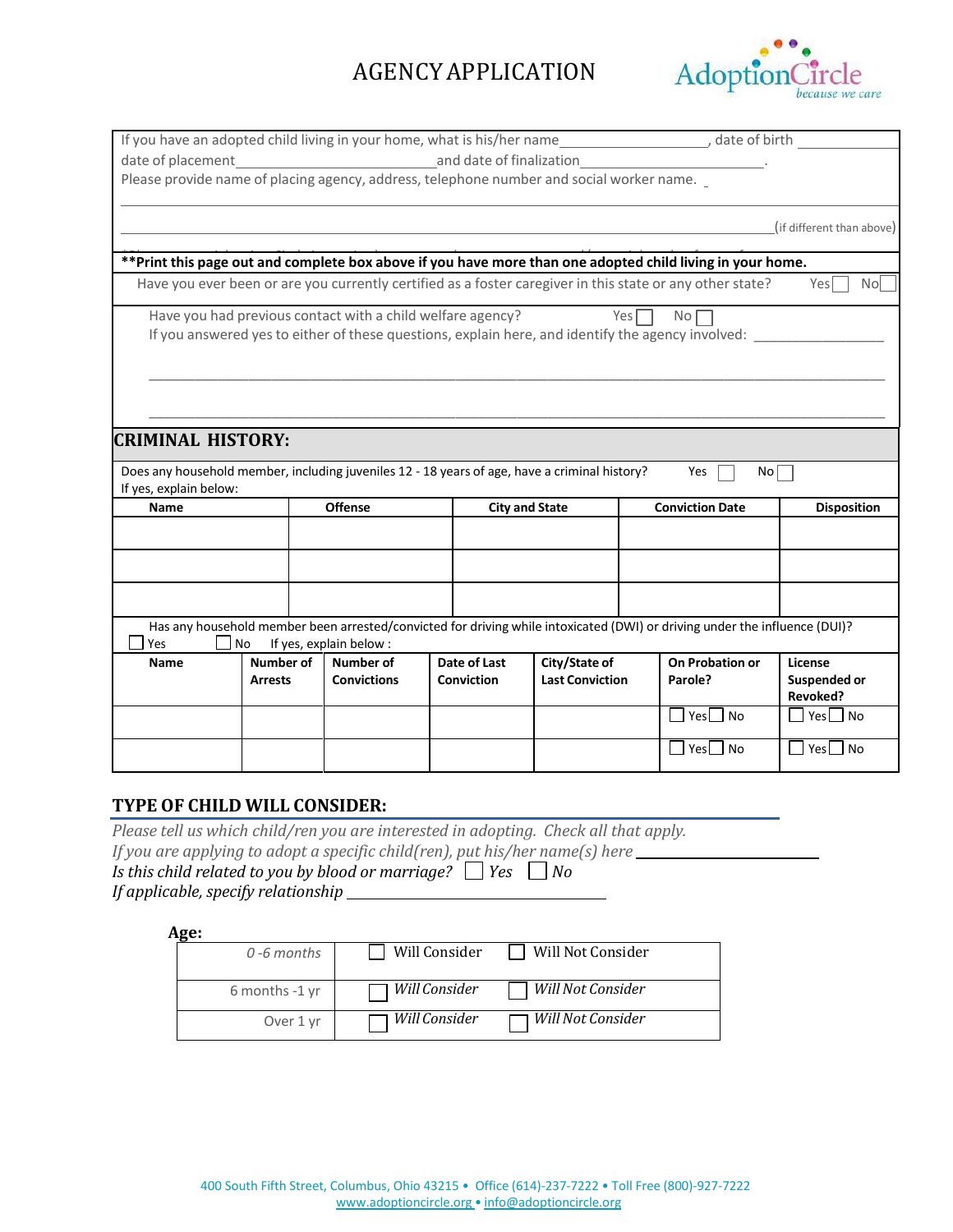

| If you have an adopted child living in your home, what is his/her name_______________________, date of birth _                                                    |                                                                                          |  |                                                            |  |                   |                        |                  |                                                                                                           |                           |
|-------------------------------------------------------------------------------------------------------------------------------------------------------------------|------------------------------------------------------------------------------------------|--|------------------------------------------------------------|--|-------------------|------------------------|------------------|-----------------------------------------------------------------------------------------------------------|---------------------------|
|                                                                                                                                                                   |                                                                                          |  |                                                            |  |                   |                        |                  |                                                                                                           |                           |
|                                                                                                                                                                   | Please provide name of placing agency, address, telephone number and social worker name. |  |                                                            |  |                   |                        |                  |                                                                                                           |                           |
|                                                                                                                                                                   |                                                                                          |  |                                                            |  |                   |                        |                  |                                                                                                           |                           |
|                                                                                                                                                                   |                                                                                          |  |                                                            |  |                   |                        |                  |                                                                                                           | (if different than above) |
|                                                                                                                                                                   |                                                                                          |  |                                                            |  |                   |                        |                  |                                                                                                           |                           |
| **Print this page out and complete box above if you have more than one adopted child living in your home.                                                         |                                                                                          |  |                                                            |  |                   |                        |                  |                                                                                                           |                           |
|                                                                                                                                                                   |                                                                                          |  |                                                            |  |                   |                        |                  | Have you ever been or are you currently certified as a foster caregiver in this state or any other state? | Yes<br>Nol                |
|                                                                                                                                                                   |                                                                                          |  | Have you had previous contact with a child welfare agency? |  |                   |                        | Yes <sub>l</sub> | No l                                                                                                      |                           |
|                                                                                                                                                                   |                                                                                          |  |                                                            |  |                   |                        |                  | If you answered yes to either of these questions, explain here, and identify the agency involved:         |                           |
|                                                                                                                                                                   |                                                                                          |  |                                                            |  |                   |                        |                  |                                                                                                           |                           |
|                                                                                                                                                                   |                                                                                          |  |                                                            |  |                   |                        |                  |                                                                                                           |                           |
|                                                                                                                                                                   |                                                                                          |  |                                                            |  |                   |                        |                  |                                                                                                           |                           |
|                                                                                                                                                                   |                                                                                          |  |                                                            |  |                   |                        |                  |                                                                                                           |                           |
| <b>CRIMINAL HISTORY:</b>                                                                                                                                          |                                                                                          |  |                                                            |  |                   |                        |                  |                                                                                                           |                           |
| Does any household member, including juveniles 12 - 18 years of age, have a criminal history?                                                                     |                                                                                          |  |                                                            |  |                   |                        |                  | Yes<br>No l                                                                                               |                           |
| If yes, explain below:                                                                                                                                            |                                                                                          |  |                                                            |  |                   |                        |                  |                                                                                                           |                           |
| <b>Name</b>                                                                                                                                                       | <b>Offense</b><br><b>Conviction Date</b><br><b>City and State</b><br><b>Disposition</b>  |  |                                                            |  |                   |                        |                  |                                                                                                           |                           |
|                                                                                                                                                                   |                                                                                          |  |                                                            |  |                   |                        |                  |                                                                                                           |                           |
|                                                                                                                                                                   |                                                                                          |  |                                                            |  |                   |                        |                  |                                                                                                           |                           |
|                                                                                                                                                                   |                                                                                          |  |                                                            |  |                   |                        |                  |                                                                                                           |                           |
|                                                                                                                                                                   |                                                                                          |  |                                                            |  |                   |                        |                  |                                                                                                           |                           |
|                                                                                                                                                                   |                                                                                          |  |                                                            |  |                   |                        |                  |                                                                                                           |                           |
| Has any household member been arrested/convicted for driving while intoxicated (DWI) or driving under the influence (DUI)?<br>No<br>If yes, explain below:<br>Yes |                                                                                          |  |                                                            |  |                   |                        |                  |                                                                                                           |                           |
| Name                                                                                                                                                              | Number of                                                                                |  | Number of                                                  |  | Date of Last      | City/State of          |                  | On Probation or                                                                                           | License                   |
|                                                                                                                                                                   | <b>Arrests</b>                                                                           |  | <b>Convictions</b>                                         |  | <b>Conviction</b> | <b>Last Conviction</b> |                  | Parole?                                                                                                   | Suspended or              |
|                                                                                                                                                                   |                                                                                          |  |                                                            |  |                   |                        |                  |                                                                                                           | Revoked?                  |
|                                                                                                                                                                   |                                                                                          |  |                                                            |  |                   |                        |                  | $Yes$ No<br>$\mathbf{I}$                                                                                  | $\Box$ Yes $\Box$ No      |
|                                                                                                                                                                   |                                                                                          |  |                                                            |  |                   |                        |                  | Yes No<br>I.                                                                                              | Yes No                    |

#### **TYPE OF CHILD WILL CONSIDER:**

*Please tell us which child/ren you are interested in adopting. Check all that apply.*

*If you are applying to adopt a specific child(ren), put his/her name(s) here*

*Is this child related to you by blood or marriage?*  $\Box$  *Yes*  $\Box$  *No If applicable, specify relationship* 

#### **Age:**

| $0 - 6$ months | Will Consider          | Will Not Consider   |
|----------------|------------------------|---------------------|
| 6 months -1 yr | ∏ <i>Will Consider</i> | Will Not Consider   |
| Over 1 yr      | Will Consider          | Will Not Consider - |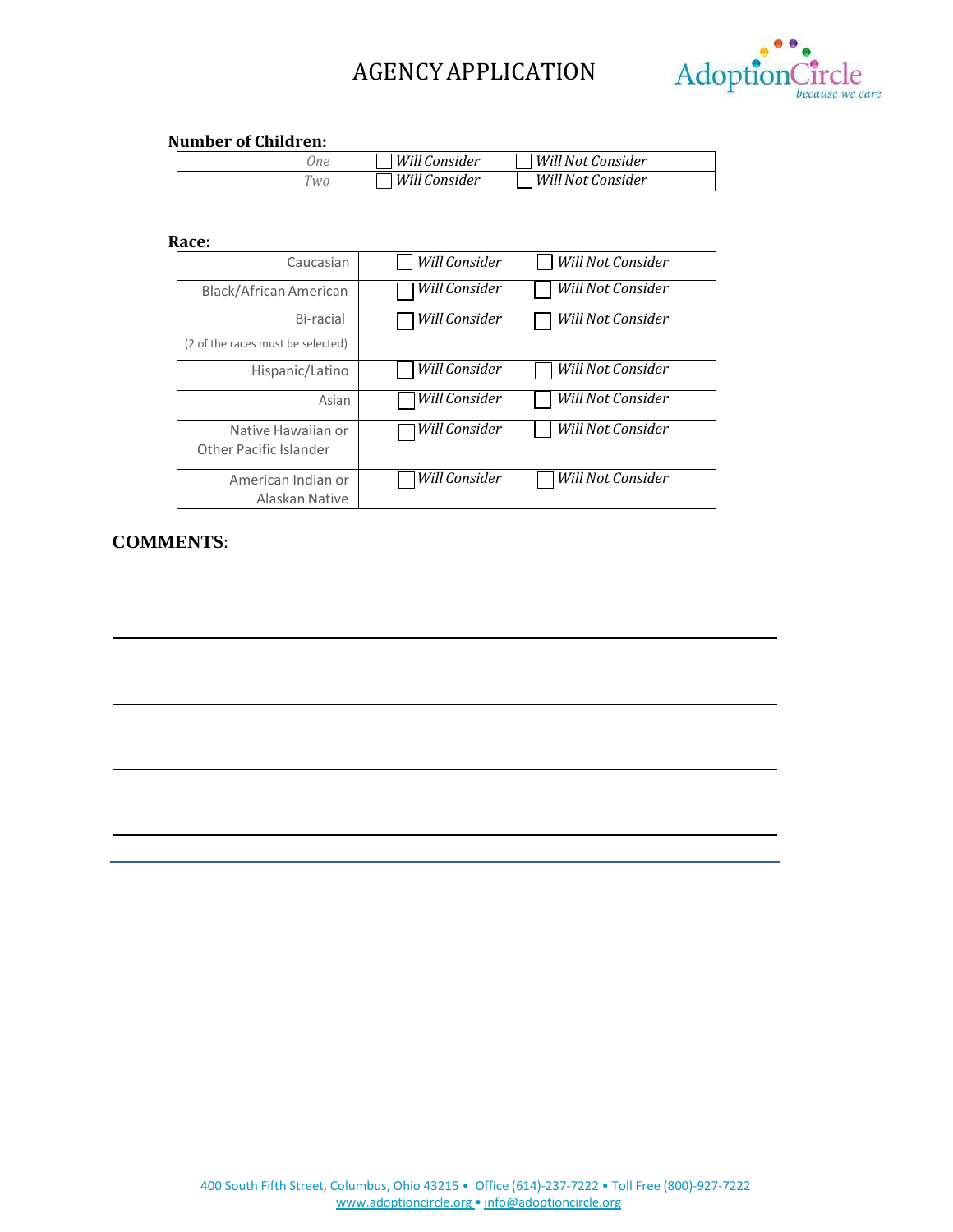

#### **Number of Children:**

| Ine            | Will Consider ، | Will Not Consider |  |
|----------------|-----------------|-------------------|--|
| W <sub>0</sub> | l Will Consider | Will Not Consider |  |

#### **Race:**

| Caucasian                                      | Will Consider | Will Not Consider |
|------------------------------------------------|---------------|-------------------|
| Black/African American                         | Will Consider | Will Not Consider |
| Bi-racial<br>(2 of the races must be selected) | Will Consider | Will Not Consider |
| Hispanic/Latino                                | Will Consider | Will Not Consider |
| Asian                                          | Will Consider | Will Not Consider |
| Native Hawaiian or<br>Other Pacific Islander   | Will Consider | Will Not Consider |
| American Indian or<br>Alaskan Native           | Will Consider | Will Not Consider |

### **COMMENTS**: